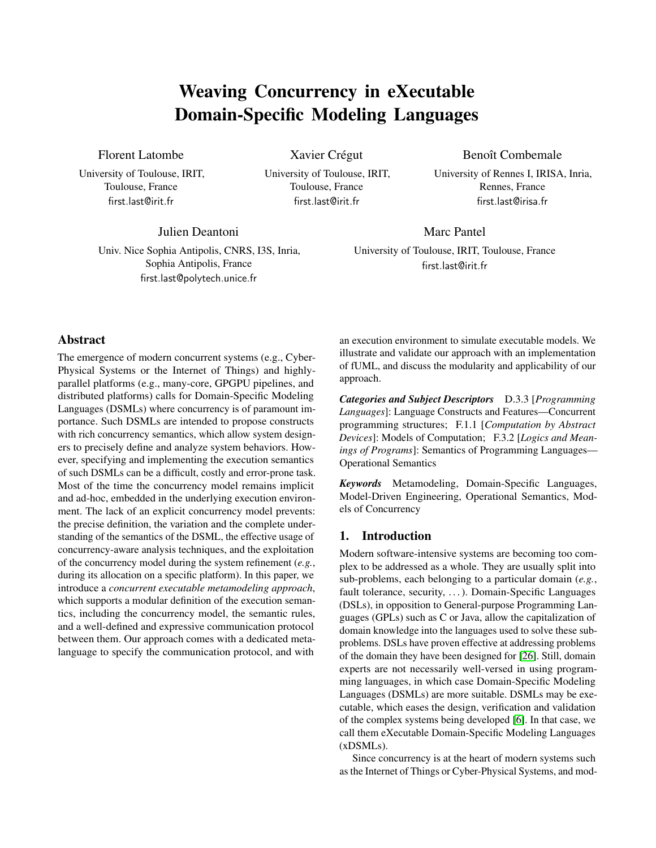# Weaving Concurrency in eXecutable Domain-Specific Modeling Languages

# Florent Latombe

University of Toulouse, IRIT, Toulouse, France first.last@irit.fr

Xavier Crégut

University of Toulouse, IRIT, Toulouse, France first.last@irit.fr

Benoît Combemale

University of Rennes I, IRISA, Inria, Rennes, France first.last@irisa.fr

Julien Deantoni

Univ. Nice Sophia Antipolis, CNRS, I3S, Inria, Sophia Antipolis, France first.last@polytech.unice.fr

# Marc Pantel

University of Toulouse, IRIT, Toulouse, France first.last@irit.fr

# Abstract

The emergence of modern concurrent systems (e.g., Cyber-Physical Systems or the Internet of Things) and highlyparallel platforms (e.g., many-core, GPGPU pipelines, and distributed platforms) calls for Domain-Specific Modeling Languages (DSMLs) where concurrency is of paramount importance. Such DSMLs are intended to propose constructs with rich concurrency semantics, which allow system designers to precisely define and analyze system behaviors. However, specifying and implementing the execution semantics of such DSMLs can be a difficult, costly and error-prone task. Most of the time the concurrency model remains implicit and ad-hoc, embedded in the underlying execution environment. The lack of an explicit concurrency model prevents: the precise definition, the variation and the complete understanding of the semantics of the DSML, the effective usage of concurrency-aware analysis techniques, and the exploitation of the concurrency model during the system refinement (*e.g.*, during its allocation on a specific platform). In this paper, we introduce a *concurrent executable metamodeling approach*, which supports a modular definition of the execution semantics, including the concurrency model, the semantic rules, and a well-defined and expressive communication protocol between them. Our approach comes with a dedicated metalanguage to specify the communication protocol, and with

an execution environment to simulate executable models. We illustrate and validate our approach with an implementation of fUML, and discuss the modularity and applicability of our approach.

*Categories and Subject Descriptors* D.3.3 [*Programming Languages*]: Language Constructs and Features—Concurrent programming structures; F.1.1 [*Computation by Abstract Devices*]: Models of Computation; F.3.2 [*Logics and Meanings of Programs*]: Semantics of Programming Languages— Operational Semantics

*Keywords* Metamodeling, Domain-Specific Languages, Model-Driven Engineering, Operational Semantics, Models of Concurrency

# 1. Introduction

Modern software-intensive systems are becoming too complex to be addressed as a whole. They are usually split into sub-problems, each belonging to a particular domain (*e.g.*, fault tolerance, security, ...). Domain-Specific Languages (DSLs), in opposition to General-purpose Programming Languages (GPLs) such as C or Java, allow the capitalization of domain knowledge into the languages used to solve these subproblems. DSLs have proven effective at addressing problems of the domain they have been designed for [\[26\]](#page-11-0). Still, domain experts are not necessarily well-versed in using programming languages, in which case Domain-Specific Modeling Languages (DSMLs) are more suitable. DSMLs may be executable, which eases the design, verification and validation of the complex systems being developed [\[6\]](#page-11-1). In that case, we call them eXecutable Domain-Specific Modeling Languages (xDSMLs).

Since concurrency is at the heart of modern systems such as the Internet of Things or Cyber-Physical Systems, and mod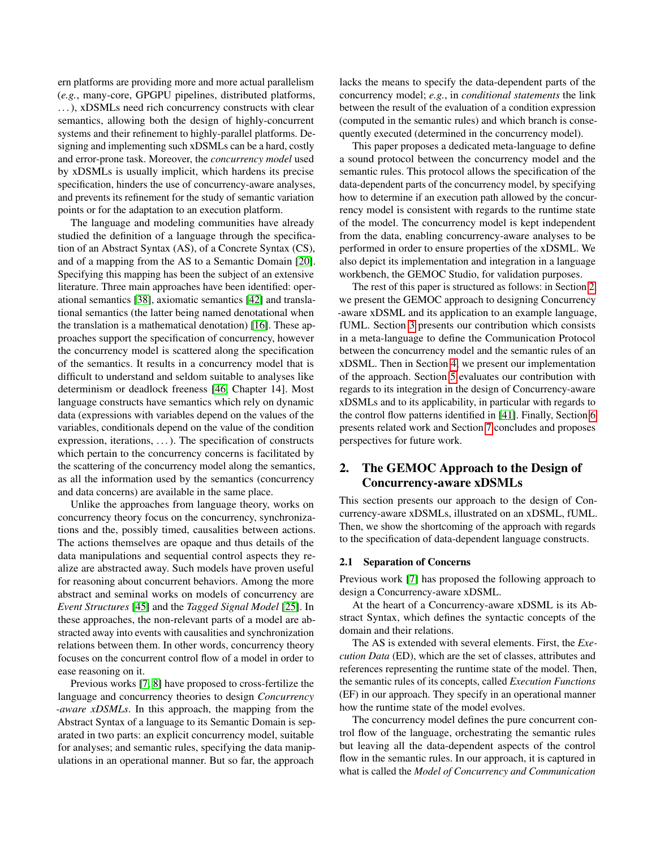ern platforms are providing more and more actual parallelism (*e.g.*, many-core, GPGPU pipelines, distributed platforms, . . . ), xDSMLs need rich concurrency constructs with clear semantics, allowing both the design of highly-concurrent systems and their refinement to highly-parallel platforms. Designing and implementing such xDSMLs can be a hard, costly and error-prone task. Moreover, the *concurrency model* used by xDSMLs is usually implicit, which hardens its precise specification, hinders the use of concurrency-aware analyses, and prevents its refinement for the study of semantic variation points or for the adaptation to an execution platform.

The language and modeling communities have already studied the definition of a language through the specification of an Abstract Syntax (AS), of a Concrete Syntax (CS), and of a mapping from the AS to a Semantic Domain [\[20\]](#page-11-2). Specifying this mapping has been the subject of an extensive literature. Three main approaches have been identified: operational semantics [\[38\]](#page-11-3), axiomatic semantics [\[42\]](#page-11-4) and translational semantics (the latter being named denotational when the translation is a mathematical denotation) [\[16\]](#page-11-5). These approaches support the specification of concurrency, however the concurrency model is scattered along the specification of the semantics. It results in a concurrency model that is difficult to understand and seldom suitable to analyses like determinism or deadlock freeness [\[46,](#page-11-6) Chapter 14]. Most language constructs have semantics which rely on dynamic data (expressions with variables depend on the values of the variables, conditionals depend on the value of the condition expression, iterations, ...). The specification of constructs which pertain to the concurrency concerns is facilitated by the scattering of the concurrency model along the semantics, as all the information used by the semantics (concurrency and data concerns) are available in the same place.

Unlike the approaches from language theory, works on concurrency theory focus on the concurrency, synchronizations and the, possibly timed, causalities between actions. The actions themselves are opaque and thus details of the data manipulations and sequential control aspects they realize are abstracted away. Such models have proven useful for reasoning about concurrent behaviors. Among the more abstract and seminal works on models of concurrency are *Event Structures* [\[45\]](#page-11-7) and the *Tagged Signal Model* [\[25\]](#page-11-8). In these approaches, the non-relevant parts of a model are abstracted away into events with causalities and synchronization relations between them. In other words, concurrency theory focuses on the concurrent control flow of a model in order to ease reasoning on it.

Previous works [\[7,](#page-11-9) [8\]](#page-11-10) have proposed to cross-fertilize the language and concurrency theories to design *Concurrency -aware xDSMLs*. In this approach, the mapping from the Abstract Syntax of a language to its Semantic Domain is separated in two parts: an explicit concurrency model, suitable for analyses; and semantic rules, specifying the data manipulations in an operational manner. But so far, the approach

lacks the means to specify the data-dependent parts of the concurrency model; *e.g.*, in *conditional statements* the link between the result of the evaluation of a condition expression (computed in the semantic rules) and which branch is consequently executed (determined in the concurrency model).

This paper proposes a dedicated meta-language to define a sound protocol between the concurrency model and the semantic rules. This protocol allows the specification of the data-dependent parts of the concurrency model, by specifying how to determine if an execution path allowed by the concurrency model is consistent with regards to the runtime state of the model. The concurrency model is kept independent from the data, enabling concurrency-aware analyses to be performed in order to ensure properties of the xDSML. We also depict its implementation and integration in a language workbench, the GEMOC Studio, for validation purposes.

The rest of this paper is structured as follows: in Section [2,](#page-1-0) we present the GEMOC approach to designing Concurrency -aware xDSML and its application to an example language, fUML. Section [3](#page-3-0) presents our contribution which consists in a meta-language to define the Communication Protocol between the concurrency model and the semantic rules of an xDSML. Then in Section [4,](#page-6-0) we present our implementation of the approach. Section [5](#page-8-0) evaluates our contribution with regards to its integration in the design of Concurrency-aware xDSMLs and to its applicability, in particular with regards to the control flow patterns identified in [\[41\]](#page-11-11). Finally, Section [6](#page-10-0) presents related work and Section [7](#page-10-1) concludes and proposes perspectives for future work.

# <span id="page-1-0"></span>2. The GEMOC Approach to the Design of Concurrency-aware xDSMLs

This section presents our approach to the design of Concurrency-aware xDSMLs, illustrated on an xDSML, fUML. Then, we show the shortcoming of the approach with regards to the specification of data-dependent language constructs.

#### 2.1 Separation of Concerns

Previous work [\[7\]](#page-11-9) has proposed the following approach to design a Concurrency-aware xDSML.

At the heart of a Concurrency-aware xDSML is its Abstract Syntax, which defines the syntactic concepts of the domain and their relations.

The AS is extended with several elements. First, the *Execution Data* (ED), which are the set of classes, attributes and references representing the runtime state of the model. Then, the semantic rules of its concepts, called *Execution Functions* (EF) in our approach. They specify in an operational manner how the runtime state of the model evolves.

The concurrency model defines the pure concurrent control flow of the language, orchestrating the semantic rules but leaving all the data-dependent aspects of the control flow in the semantic rules. In our approach, it is captured in what is called the *Model of Concurrency and Communication*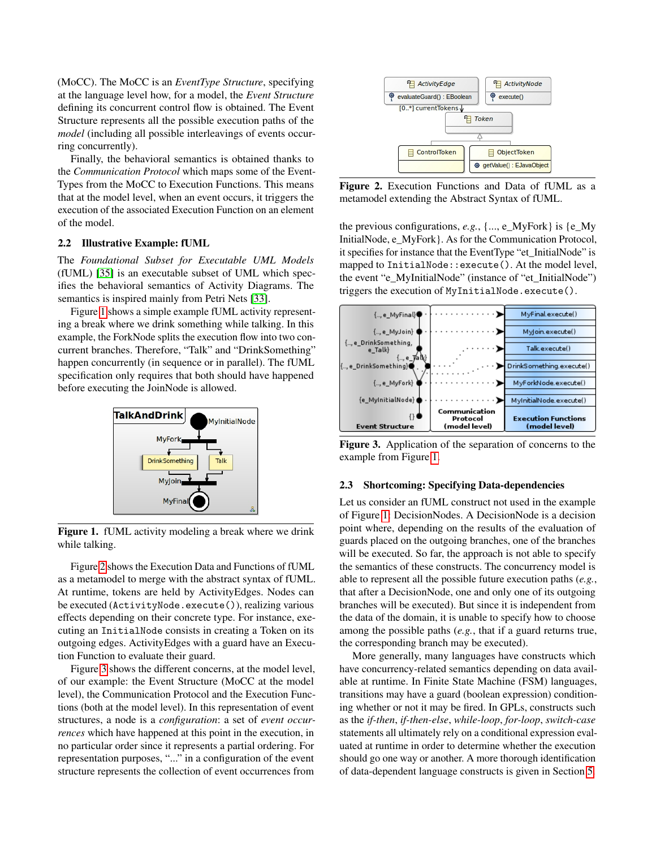(MoCC). The MoCC is an *EventType Structure*, specifying at the language level how, for a model, the *Event Structure* defining its concurrent control flow is obtained. The Event Structure represents all the possible execution paths of the *model* (including all possible interleavings of events occurring concurrently).

Finally, the behavioral semantics is obtained thanks to the *Communication Protocol* which maps some of the Event-Types from the MoCC to Execution Functions. This means that at the model level, when an event occurs, it triggers the execution of the associated Execution Function on an element of the model.

#### 2.2 Illustrative Example: fUML

The *Foundational Subset for Executable UML Models* (fUML) [\[35\]](#page-11-12) is an executable subset of UML which specifies the behavioral semantics of Activity Diagrams. The semantics is inspired mainly from Petri Nets [\[33\]](#page-11-13).

Figure [1](#page-2-0) shows a simple example fUML activity representing a break where we drink something while talking. In this example, the ForkNode splits the execution flow into two concurrent branches. Therefore, "Talk" and "DrinkSomething" happen concurrently (in sequence or in parallel). The fUML specification only requires that both should have happened before executing the JoinNode is allowed.



<span id="page-2-0"></span>Figure 1. fUML activity modeling a break where we drink while talking.

Figure [2](#page-2-1) shows the Execution Data and Functions of fUML as a metamodel to merge with the abstract syntax of fUML. At runtime, tokens are held by ActivityEdges. Nodes can be executed (ActivityNode.execute()), realizing various effects depending on their concrete type. For instance, executing an InitialNode consists in creating a Token on its outgoing edges. ActivityEdges with a guard have an Execution Function to evaluate their guard.

Figure [3](#page-2-2) shows the different concerns, at the model level, of our example: the Event Structure (MoCC at the model level), the Communication Protocol and the Execution Functions (both at the model level). In this representation of event structures, a node is a *configuration*: a set of *event occurrences* which have happened at this point in the execution, in no particular order since it represents a partial ordering. For representation purposes, "..." in a configuration of the event structure represents the collection of event occurrences from



<span id="page-2-1"></span>Figure 2. Execution Functions and Data of fUML as a metamodel extending the Abstract Syntax of fUML.

the previous configurations, *e.g.*, {..., e\_MyFork} is {e\_My InitialNode, e\_MyFork}. As for the Communication Protocol, it specifies for instance that the EventType "et\_InitialNode" is mapped to InitialNode::execute(). At the model level, the event "e\_MyInitialNode" (instance of "et\_InitialNode") triggers the execution of MyInitialNode.execute().



<span id="page-2-2"></span>Figure 3. Application of the separation of concerns to the example from Figure [1.](#page-2-0)

#### 2.3 Shortcoming: Specifying Data-dependencies

Let us consider an fUML construct not used in the example of Figure [1:](#page-2-0) DecisionNodes. A DecisionNode is a decision point where, depending on the results of the evaluation of guards placed on the outgoing branches, one of the branches will be executed. So far, the approach is not able to specify the semantics of these constructs. The concurrency model is able to represent all the possible future execution paths (*e.g.*, that after a DecisionNode, one and only one of its outgoing branches will be executed). But since it is independent from the data of the domain, it is unable to specify how to choose among the possible paths (*e.g.*, that if a guard returns true, the corresponding branch may be executed).

More generally, many languages have constructs which have concurrency-related semantics depending on data available at runtime. In Finite State Machine (FSM) languages, transitions may have a guard (boolean expression) conditioning whether or not it may be fired. In GPLs, constructs such as the *if-then*, *if-then-else*, *while-loop*, *for-loop*, *switch-case* statements all ultimately rely on a conditional expression evaluated at runtime in order to determine whether the execution should go one way or another. A more thorough identification of data-dependent language constructs is given in Section [5.](#page-8-0)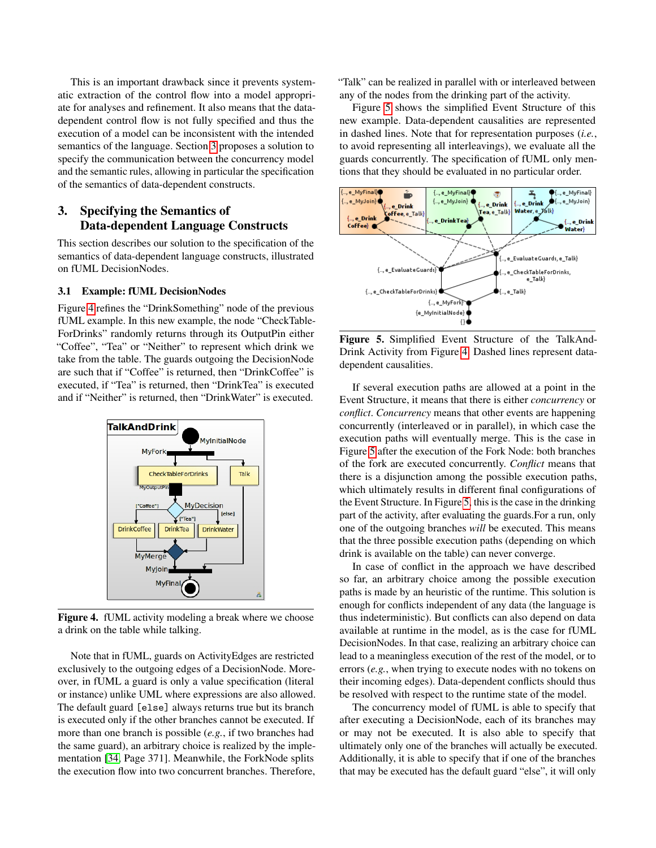This is an important drawback since it prevents systematic extraction of the control flow into a model appropriate for analyses and refinement. It also means that the datadependent control flow is not fully specified and thus the execution of a model can be inconsistent with the intended semantics of the language. Section [3](#page-3-0) proposes a solution to specify the communication between the concurrency model and the semantic rules, allowing in particular the specification of the semantics of data-dependent constructs.

# <span id="page-3-0"></span>3. Specifying the Semantics of Data-dependent Language Constructs

This section describes our solution to the specification of the semantics of data-dependent language constructs, illustrated on fUML DecisionNodes.

#### 3.1 Example: fUML DecisionNodes

Figure [4](#page-3-1) refines the "DrinkSomething" node of the previous fUML example. In this new example, the node "CheckTable-ForDrinks" randomly returns through its OutputPin either "Coffee", "Tea" or "Neither" to represent which drink we take from the table. The guards outgoing the DecisionNode are such that if "Coffee" is returned, then "DrinkCoffee" is executed, if "Tea" is returned, then "DrinkTea" is executed and if "Neither" is returned, then "DrinkWater" is executed.



<span id="page-3-1"></span>Figure 4. fUML activity modeling a break where we choose a drink on the table while talking.

Note that in fUML, guards on ActivityEdges are restricted exclusively to the outgoing edges of a DecisionNode. Moreover, in fUML a guard is only a value specification (literal or instance) unlike UML where expressions are also allowed. The default guard [else] always returns true but its branch is executed only if the other branches cannot be executed. If more than one branch is possible (*e.g.*, if two branches had the same guard), an arbitrary choice is realized by the implementation [\[34,](#page-11-14) Page 371]. Meanwhile, the ForkNode splits the execution flow into two concurrent branches. Therefore, "Talk" can be realized in parallel with or interleaved between any of the nodes from the drinking part of the activity.

Figure [5](#page-3-2) shows the simplified Event Structure of this new example. Data-dependent causalities are represented in dashed lines. Note that for representation purposes (*i.e.*, to avoid representing all interleavings), we evaluate all the guards concurrently. The specification of fUML only mentions that they should be evaluated in no particular order.



<span id="page-3-2"></span>Figure 5. Simplified Event Structure of the TalkAnd-Drink Activity from Figure [4.](#page-3-1) Dashed lines represent datadependent causalities.

If several execution paths are allowed at a point in the Event Structure, it means that there is either *concurrency* or *conflict*. *Concurrency* means that other events are happening concurrently (interleaved or in parallel), in which case the execution paths will eventually merge. This is the case in Figure [5](#page-3-2) after the execution of the Fork Node: both branches of the fork are executed concurrently. *Conflict* means that there is a disjunction among the possible execution paths, which ultimately results in different final configurations of the Event Structure. In Figure [5,](#page-3-2) this is the case in the drinking part of the activity, after evaluating the guards.For a run, only one of the outgoing branches *will* be executed. This means that the three possible execution paths (depending on which drink is available on the table) can never converge.

In case of conflict in the approach we have described so far, an arbitrary choice among the possible execution paths is made by an heuristic of the runtime. This solution is enough for conflicts independent of any data (the language is thus indeterministic). But conflicts can also depend on data available at runtime in the model, as is the case for fUML DecisionNodes. In that case, realizing an arbitrary choice can lead to a meaningless execution of the rest of the model, or to errors (*e.g.*, when trying to execute nodes with no tokens on their incoming edges). Data-dependent conflicts should thus be resolved with respect to the runtime state of the model.

The concurrency model of fUML is able to specify that after executing a DecisionNode, each of its branches may or may not be executed. It is also able to specify that ultimately only one of the branches will actually be executed. Additionally, it is able to specify that if one of the branches that may be executed has the default guard "else", it will only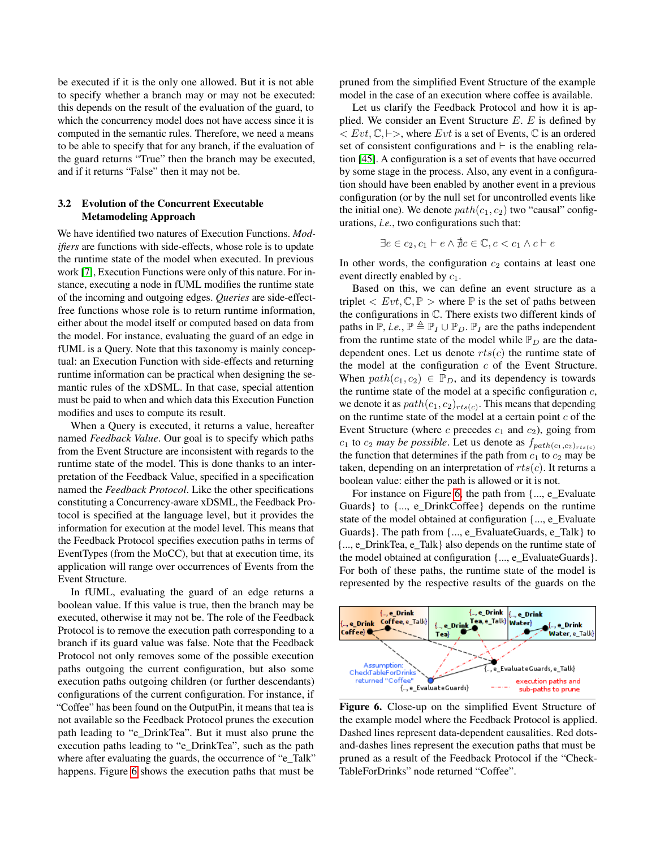be executed if it is the only one allowed. But it is not able to specify whether a branch may or may not be executed: this depends on the result of the evaluation of the guard, to which the concurrency model does not have access since it is computed in the semantic rules. Therefore, we need a means to be able to specify that for any branch, if the evaluation of the guard returns "True" then the branch may be executed, and if it returns "False" then it may not be.

# 3.2 Evolution of the Concurrent Executable Metamodeling Approach

We have identified two natures of Execution Functions. *Modifiers* are functions with side-effects, whose role is to update the runtime state of the model when executed. In previous work [\[7\]](#page-11-9), Execution Functions were only of this nature. For instance, executing a node in fUML modifies the runtime state of the incoming and outgoing edges. *Queries* are side-effectfree functions whose role is to return runtime information, either about the model itself or computed based on data from the model. For instance, evaluating the guard of an edge in fUML is a Query. Note that this taxonomy is mainly conceptual: an Execution Function with side-effects and returning runtime information can be practical when designing the semantic rules of the xDSML. In that case, special attention must be paid to when and which data this Execution Function modifies and uses to compute its result.

When a Query is executed, it returns a value, hereafter named *Feedback Value*. Our goal is to specify which paths from the Event Structure are inconsistent with regards to the runtime state of the model. This is done thanks to an interpretation of the Feedback Value, specified in a specification named the *Feedback Protocol*. Like the other specifications constituting a Concurrency-aware xDSML, the Feedback Protocol is specified at the language level, but it provides the information for execution at the model level. This means that the Feedback Protocol specifies execution paths in terms of EventTypes (from the MoCC), but that at execution time, its application will range over occurrences of Events from the Event Structure.

In fUML, evaluating the guard of an edge returns a boolean value. If this value is true, then the branch may be executed, otherwise it may not be. The role of the Feedback Protocol is to remove the execution path corresponding to a branch if its guard value was false. Note that the Feedback Protocol not only removes some of the possible execution paths outgoing the current configuration, but also some execution paths outgoing children (or further descendants) configurations of the current configuration. For instance, if "Coffee" has been found on the OutputPin, it means that tea is not available so the Feedback Protocol prunes the execution path leading to "e\_DrinkTea". But it must also prune the execution paths leading to "e\_DrinkTea", such as the path where after evaluating the guards, the occurrence of "e\_Talk" happens. Figure [6](#page-4-0) shows the execution paths that must be

pruned from the simplified Event Structure of the example model in the case of an execution where coffee is available.

Let us clarify the Feedback Protocol and how it is applied. We consider an Event Structure  $E$ .  $E$  is defined by  $\langle Evt, \mathbb{C}, \mathbb{H} \rangle$ , where Evt is a set of Events,  $\mathbb C$  is an ordered set of consistent configurations and  $\vdash$  is the enabling relation [\[45\]](#page-11-7). A configuration is a set of events that have occurred by some stage in the process. Also, any event in a configuration should have been enabled by another event in a previous configuration (or by the null set for uncontrolled events like the initial one). We denote  $path(c_1, c_2)$  two "causal" configurations, *i.e.*, two configurations such that:

$$
\exists e \in c_2, c_1 \vdash e \land \nexists c \in \mathbb{C}, c < c_1 \land c \vdash e
$$

In other words, the configuration  $c_2$  contains at least one event directly enabled by  $c_1$ .

Based on this, we can define an event structure as a triplet  $\langle Evt, \mathbb{C}, \mathbb{P} \rangle$  where  $\mathbb P$  is the set of paths between the configurations in C. There exists two different kinds of paths in  $\mathbb{P}$ , *i.e.*,  $\mathbb{P} \triangleq \mathbb{P}_I \cup \mathbb{P}_D$ .  $\mathbb{P}_I$  are the paths independent from the runtime state of the model while  $\mathbb{P}_D$  are the datadependent ones. Let us denote  $rts(c)$  the runtime state of the model at the configuration  $c$  of the Event Structure. When  $path(c_1, c_2) \in \mathbb{P}_D$ , and its dependency is towards the runtime state of the model at a specific configuration  $c$ , we denote it as  $path(c_1, c_2)_{rts(c)}$ . This means that depending on the runtime state of the model at a certain point  $c$  of the Event Structure (where  $c$  precedes  $c_1$  and  $c_2$ ), going from  $c_1$  to  $c_2$  *may be possible*. Let us denote as  $f_{path(c_1, c_2)_{rts(c)}}$ the function that determines if the path from  $c_1$  to  $c_2$  may be taken, depending on an interpretation of  $rts(c)$ . It returns a boolean value: either the path is allowed or it is not.

For instance on Figure [6,](#page-4-0) the path from {..., e\_Evaluate Guards} to {..., e\_DrinkCoffee} depends on the runtime state of the model obtained at configuration {..., e\_Evaluate Guards}. The path from {..., e\_EvaluateGuards, e\_Talk} to {..., e\_DrinkTea, e\_Talk} also depends on the runtime state of the model obtained at configuration {..., e\_EvaluateGuards}. For both of these paths, the runtime state of the model is represented by the respective results of the guards on the



<span id="page-4-0"></span>Figure 6. Close-up on the simplified Event Structure of the example model where the Feedback Protocol is applied. Dashed lines represent data-dependent causalities. Red dotsand-dashes lines represent the execution paths that must be pruned as a result of the Feedback Protocol if the "Check-TableForDrinks" node returned "Coffee".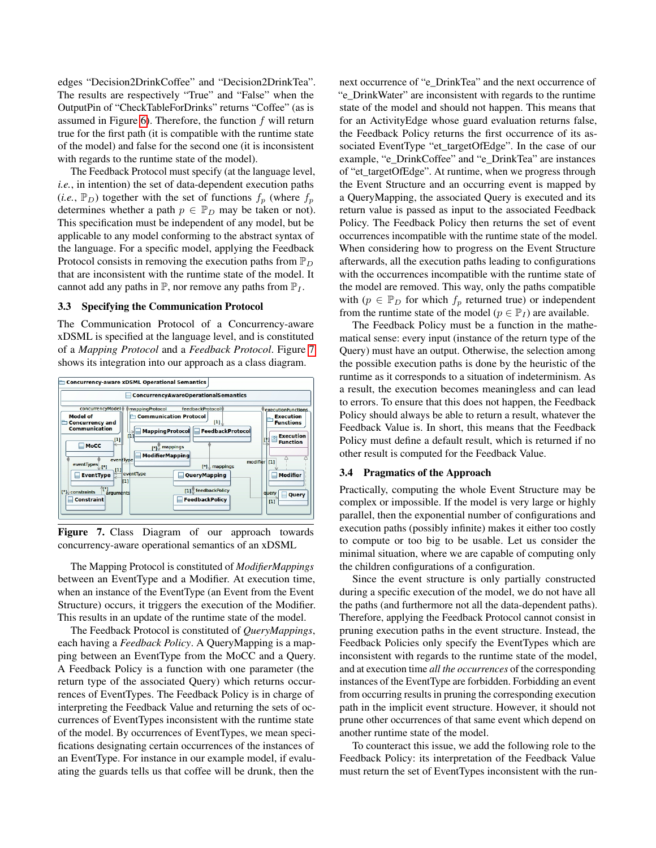edges "Decision2DrinkCoffee" and "Decision2DrinkTea". The results are respectively "True" and "False" when the OutputPin of "CheckTableForDrinks" returns "Coffee" (as is assumed in Figure [6\)](#page-4-0). Therefore, the function  $f$  will return true for the first path (it is compatible with the runtime state of the model) and false for the second one (it is inconsistent with regards to the runtime state of the model).

The Feedback Protocol must specify (at the language level, *i.e.*, in intention) the set of data-dependent execution paths  $(i.e., \mathbb{P}_D)$  together with the set of functions  $f_p$  (where  $f_p$ ) determines whether a path  $p \in \mathbb{P}_D$  may be taken or not). This specification must be independent of any model, but be applicable to any model conforming to the abstract syntax of the language. For a specific model, applying the Feedback Protocol consists in removing the execution paths from  $\mathbb{P}_D$ that are inconsistent with the runtime state of the model. It cannot add any paths in  $\mathbb{P}$ , nor remove any paths from  $\mathbb{P}_I$ .

#### 3.3 Specifying the Communication Protocol

The Communication Protocol of a Concurrency-aware xDSML is specified at the language level, and is constituted of a *Mapping Protocol* and a *Feedback Protocol*. Figure [7](#page-5-0) shows its integration into our approach as a class diagram.



<span id="page-5-0"></span>Figure 7. Class Diagram of our approach towards concurrency-aware operational semantics of an xDSML

The Mapping Protocol is constituted of *ModifierMappings* between an EventType and a Modifier. At execution time, when an instance of the EventType (an Event from the Event Structure) occurs, it triggers the execution of the Modifier. This results in an update of the runtime state of the model.

The Feedback Protocol is constituted of *QueryMappings*, each having a *Feedback Policy*. A QueryMapping is a mapping between an EventType from the MoCC and a Query. A Feedback Policy is a function with one parameter (the return type of the associated Query) which returns occurrences of EventTypes. The Feedback Policy is in charge of interpreting the Feedback Value and returning the sets of occurrences of EventTypes inconsistent with the runtime state of the model. By occurrences of EventTypes, we mean specifications designating certain occurrences of the instances of an EventType. For instance in our example model, if evaluating the guards tells us that coffee will be drunk, then the next occurrence of "e\_DrinkTea" and the next occurrence of "e\_DrinkWater" are inconsistent with regards to the runtime state of the model and should not happen. This means that for an ActivityEdge whose guard evaluation returns false, the Feedback Policy returns the first occurrence of its associated EventType "et\_targetOfEdge". In the case of our example, "e\_DrinkCoffee" and "e\_DrinkTea" are instances of "et\_targetOfEdge". At runtime, when we progress through the Event Structure and an occurring event is mapped by a QueryMapping, the associated Query is executed and its return value is passed as input to the associated Feedback Policy. The Feedback Policy then returns the set of event occurrences incompatible with the runtime state of the model. When considering how to progress on the Event Structure afterwards, all the execution paths leading to configurations with the occurrences incompatible with the runtime state of the model are removed. This way, only the paths compatible with ( $p \in \mathbb{P}_D$  for which  $f_p$  returned true) or independent from the runtime state of the model ( $p \in \mathbb{P}_I$ ) are available.

The Feedback Policy must be a function in the mathematical sense: every input (instance of the return type of the Query) must have an output. Otherwise, the selection among the possible execution paths is done by the heuristic of the runtime as it corresponds to a situation of indeterminism. As a result, the execution becomes meaningless and can lead to errors. To ensure that this does not happen, the Feedback Policy should always be able to return a result, whatever the Feedback Value is. In short, this means that the Feedback Policy must define a default result, which is returned if no other result is computed for the Feedback Value.

# <span id="page-5-1"></span>3.4 Pragmatics of the Approach

Practically, computing the whole Event Structure may be complex or impossible. If the model is very large or highly parallel, then the exponential number of configurations and execution paths (possibly infinite) makes it either too costly to compute or too big to be usable. Let us consider the minimal situation, where we are capable of computing only the children configurations of a configuration.

Since the event structure is only partially constructed during a specific execution of the model, we do not have all the paths (and furthermore not all the data-dependent paths). Therefore, applying the Feedback Protocol cannot consist in pruning execution paths in the event structure. Instead, the Feedback Policies only specify the EventTypes which are inconsistent with regards to the runtime state of the model, and at execution time *all the occurrences* of the corresponding instances of the EventType are forbidden. Forbidding an event from occurring results in pruning the corresponding execution path in the implicit event structure. However, it should not prune other occurrences of that same event which depend on another runtime state of the model.

To counteract this issue, we add the following role to the Feedback Policy: its interpretation of the Feedback Value must return the set of EventTypes inconsistent with the run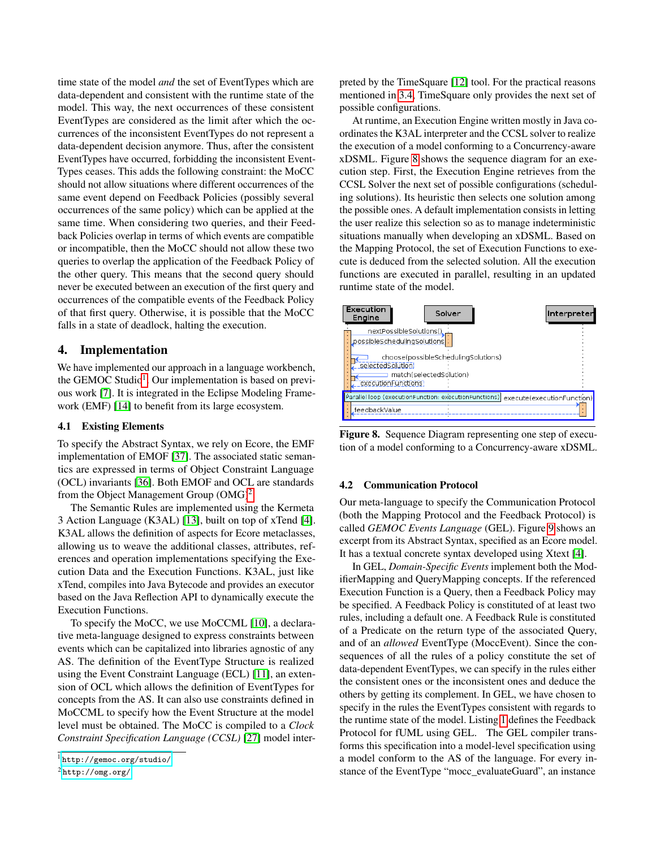time state of the model *and* the set of EventTypes which are data-dependent and consistent with the runtime state of the model. This way, the next occurrences of these consistent EventTypes are considered as the limit after which the occurrences of the inconsistent EventTypes do not represent a data-dependent decision anymore. Thus, after the consistent EventTypes have occurred, forbidding the inconsistent Event-Types ceases. This adds the following constraint: the MoCC should not allow situations where different occurrences of the same event depend on Feedback Policies (possibly several occurrences of the same policy) which can be applied at the same time. When considering two queries, and their Feedback Policies overlap in terms of which events are compatible or incompatible, then the MoCC should not allow these two queries to overlap the application of the Feedback Policy of the other query. This means that the second query should never be executed between an execution of the first query and occurrences of the compatible events of the Feedback Policy of that first query. Otherwise, it is possible that the MoCC falls in a state of deadlock, halting the execution.

# <span id="page-6-0"></span>4. Implementation

We have implemented our approach in a language workbench, the GEMOC Studio<sup>[1](#page-6-1)</sup>. Our implementation is based on previous work [\[7\]](#page-11-9). It is integrated in the Eclipse Modeling Framework (EMF) [\[14\]](#page-11-15) to benefit from its large ecosystem.

#### 4.1 Existing Elements

To specify the Abstract Syntax, we rely on Ecore, the EMF implementation of EMOF [\[37\]](#page-11-16). The associated static semantics are expressed in terms of Object Constraint Language (OCL) invariants [\[36\]](#page-11-17). Both EMOF and OCL are standards from the Object Management Group  $(OMG)^2$  $(OMG)^2$ .

The Semantic Rules are implemented using the Kermeta 3 Action Language (K3AL) [\[13\]](#page-11-18), built on top of xTend [\[4\]](#page-11-19). K3AL allows the definition of aspects for Ecore metaclasses, allowing us to weave the additional classes, attributes, references and operation implementations specifying the Execution Data and the Execution Functions. K3AL, just like xTend, compiles into Java Bytecode and provides an executor based on the Java Reflection API to dynamically execute the Execution Functions.

To specify the MoCC, we use MoCCML [\[10\]](#page-11-20), a declarative meta-language designed to express constraints between events which can be capitalized into libraries agnostic of any AS. The definition of the EventType Structure is realized using the Event Constraint Language (ECL) [\[11\]](#page-11-21), an extension of OCL which allows the definition of EventTypes for concepts from the AS. It can also use constraints defined in MoCCML to specify how the Event Structure at the model level must be obtained. The MoCC is compiled to a *Clock Constraint Specification Language (CCSL)* [\[27\]](#page-11-22) model interpreted by the TimeSquare [\[12\]](#page-11-23) tool. For the practical reasons mentioned in [3.4,](#page-5-1) TimeSquare only provides the next set of possible configurations.

At runtime, an Execution Engine written mostly in Java coordinates the K3AL interpreter and the CCSL solver to realize the execution of a model conforming to a Concurrency-aware xDSML. Figure [8](#page-6-3) shows the sequence diagram for an execution step. First, the Execution Engine retrieves from the CCSL Solver the next set of possible configurations (scheduling solutions). Its heuristic then selects one solution among the possible ones. A default implementation consists in letting the user realize this selection so as to manage indeterministic situations manually when developing an xDSML. Based on the Mapping Protocol, the set of Execution Functions to execute is deduced from the selected solution. All the execution functions are executed in parallel, resulting in an updated runtime state of the model.



<span id="page-6-3"></span>Figure 8. Sequence Diagram representing one step of execution of a model conforming to a Concurrency-aware xDSML.

# 4.2 Communication Protocol

Our meta-language to specify the Communication Protocol (both the Mapping Protocol and the Feedback Protocol) is called *GEMOC Events Language* (GEL). Figure [9](#page-7-0) shows an excerpt from its Abstract Syntax, specified as an Ecore model. It has a textual concrete syntax developed using Xtext [\[4\]](#page-11-19).

In GEL, *Domain-Specific Events* implement both the ModifierMapping and QueryMapping concepts. If the referenced Execution Function is a Query, then a Feedback Policy may be specified. A Feedback Policy is constituted of at least two rules, including a default one. A Feedback Rule is constituted of a Predicate on the return type of the associated Query, and of an *allowed* EventType (MoccEvent). Since the consequences of all the rules of a policy constitute the set of data-dependent EventTypes, we can specify in the rules either the consistent ones or the inconsistent ones and deduce the others by getting its complement. In GEL, we have chosen to specify in the rules the EventTypes consistent with regards to the runtime state of the model. Listing [1](#page-7-1) defines the Feedback Protocol for fUML using GEL. The GEL compiler transforms this specification into a model-level specification using a model conform to the AS of the language. For every instance of the EventType "mocc\_evaluateGuard", an instance

<span id="page-6-1"></span><sup>1</sup> <http://gemoc.org/studio/>

<span id="page-6-2"></span> ${}^{2}$ <http://omg.org/>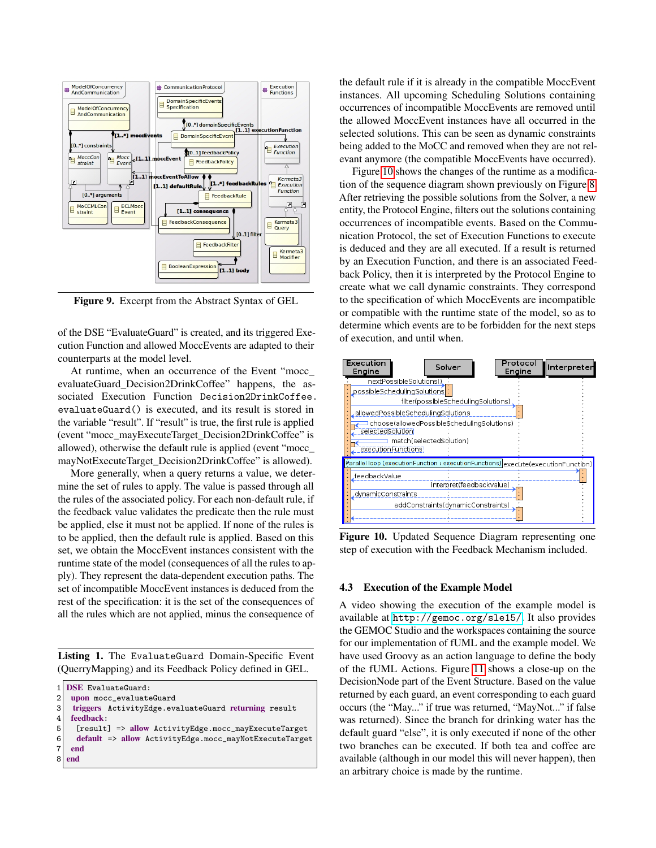

<span id="page-7-0"></span>Figure 9. Excerpt from the Abstract Syntax of GEL

of the DSE "EvaluateGuard" is created, and its triggered Execution Function and allowed MoccEvents are adapted to their counterparts at the model level.

At runtime, when an occurrence of the Event "mocc\_ evaluateGuard\_Decision2DrinkCoffee" happens, the associated Execution Function Decision2DrinkCoffee. evaluateGuard() is executed, and its result is stored in the variable "result". If "result" is true, the first rule is applied (event "mocc\_mayExecuteTarget\_Decision2DrinkCoffee" is allowed), otherwise the default rule is applied (event "mocc\_ mayNotExecuteTarget\_Decision2DrinkCoffee" is allowed).

More generally, when a query returns a value, we determine the set of rules to apply. The value is passed through all the rules of the associated policy. For each non-default rule, if the feedback value validates the predicate then the rule must be applied, else it must not be applied. If none of the rules is to be applied, then the default rule is applied. Based on this set, we obtain the MoccEvent instances consistent with the runtime state of the model (consequences of all the rules to apply). They represent the data-dependent execution paths. The set of incompatible MoccEvent instances is deduced from the rest of the specification: it is the set of the consequences of all the rules which are not applied, minus the consequence of

<span id="page-7-1"></span>Listing 1. The EvaluateGuard Domain-Specific Event (QuerryMapping) and its Feedback Policy defined in GEL.

```
1 DSE EvaluateGuard:
```
 $\begin{array}{c|c} 2 & \text{upon mocc\_evaluateGuard} \\ \hline 3 & \text{triogers} & \text{ActivitativeEdge} & \text{evi} \end{array}$ 

```
3 triggers ActivityEdge.evaluateGuard returning result<br>4 feedback:
```

```
feedback:
```

```
5 [result] => allow ActivityEdge.mocc_mayExecuteTarget
6 default => allow ActivityEdge.mocc_mayNotExecuteTarget
```
 $\begin{array}{c|c} 7 & \textbf{end} \\ \hline 8 & \textbf{end} \end{array}$ 

end

the default rule if it is already in the compatible MoccEvent instances. All upcoming Scheduling Solutions containing occurrences of incompatible MoccEvents are removed until the allowed MoccEvent instances have all occurred in the selected solutions. This can be seen as dynamic constraints being added to the MoCC and removed when they are not relevant anymore (the compatible MoccEvents have occurred).

Figure [10](#page-7-2) shows the changes of the runtime as a modification of the sequence diagram shown previously on Figure [8.](#page-6-3) After retrieving the possible solutions from the Solver, a new entity, the Protocol Engine, filters out the solutions containing occurrences of incompatible events. Based on the Communication Protocol, the set of Execution Functions to execute is deduced and they are all executed. If a result is returned by an Execution Function, and there is an associated Feedback Policy, then it is interpreted by the Protocol Engine to create what we call dynamic constraints. They correspond to the specification of which MoccEvents are incompatible or compatible with the runtime state of the model, so as to determine which events are to be forbidden for the next steps of execution, and until when.



<span id="page-7-2"></span>Figure 10. Updated Sequence Diagram representing one step of execution with the Feedback Mechanism included.

#### 4.3 Execution of the Example Model

A video showing the execution of the example model is available at <http://gemoc.org/sle15/>. It also provides the GEMOC Studio and the workspaces containing the source for our implementation of fUML and the example model. We have used Groovy as an action language to define the body of the fUML Actions. Figure [11](#page-8-1) shows a close-up on the DecisionNode part of the Event Structure. Based on the value returned by each guard, an event corresponding to each guard occurs (the "May..." if true was returned, "MayNot..." if false was returned). Since the branch for drinking water has the default guard "else", it is only executed if none of the other two branches can be executed. If both tea and coffee are available (although in our model this will never happen), then an arbitrary choice is made by the runtime.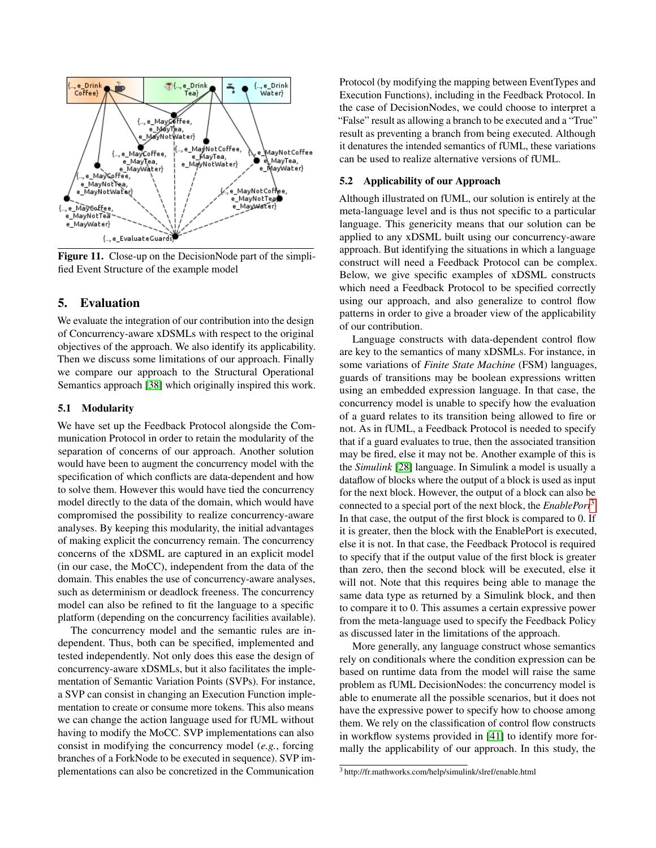

<span id="page-8-1"></span>Figure 11. Close-up on the DecisionNode part of the simplified Event Structure of the example model

### <span id="page-8-0"></span>5. Evaluation

We evaluate the integration of our contribution into the design of Concurrency-aware xDSMLs with respect to the original objectives of the approach. We also identify its applicability. Then we discuss some limitations of our approach. Finally we compare our approach to the Structural Operational Semantics approach [\[38\]](#page-11-3) which originally inspired this work.

#### 5.1 Modularity

We have set up the Feedback Protocol alongside the Communication Protocol in order to retain the modularity of the separation of concerns of our approach. Another solution would have been to augment the concurrency model with the specification of which conflicts are data-dependent and how to solve them. However this would have tied the concurrency model directly to the data of the domain, which would have compromised the possibility to realize concurrency-aware analyses. By keeping this modularity, the initial advantages of making explicit the concurrency remain. The concurrency concerns of the xDSML are captured in an explicit model (in our case, the MoCC), independent from the data of the domain. This enables the use of concurrency-aware analyses, such as determinism or deadlock freeness. The concurrency model can also be refined to fit the language to a specific platform (depending on the concurrency facilities available).

The concurrency model and the semantic rules are independent. Thus, both can be specified, implemented and tested independently. Not only does this ease the design of concurrency-aware xDSMLs, but it also facilitates the implementation of Semantic Variation Points (SVPs). For instance, a SVP can consist in changing an Execution Function implementation to create or consume more tokens. This also means we can change the action language used for fUML without having to modify the MoCC. SVP implementations can also consist in modifying the concurrency model (*e.g.*, forcing branches of a ForkNode to be executed in sequence). SVP implementations can also be concretized in the Communication

Protocol (by modifying the mapping between EventTypes and Execution Functions), including in the Feedback Protocol. In the case of DecisionNodes, we could choose to interpret a "False" result as allowing a branch to be executed and a "True" result as preventing a branch from being executed. Although it denatures the intended semantics of fUML, these variations can be used to realize alternative versions of fUML.

#### 5.2 Applicability of our Approach

Although illustrated on fUML, our solution is entirely at the meta-language level and is thus not specific to a particular language. This genericity means that our solution can be applied to any xDSML built using our concurrency-aware approach. But identifying the situations in which a language construct will need a Feedback Protocol can be complex. Below, we give specific examples of xDSML constructs which need a Feedback Protocol to be specified correctly using our approach, and also generalize to control flow patterns in order to give a broader view of the applicability of our contribution.

Language constructs with data-dependent control flow are key to the semantics of many xDSMLs. For instance, in some variations of *Finite State Machine* (FSM) languages, guards of transitions may be boolean expressions written using an embedded expression language. In that case, the concurrency model is unable to specify how the evaluation of a guard relates to its transition being allowed to fire or not. As in fUML, a Feedback Protocol is needed to specify that if a guard evaluates to true, then the associated transition may be fired, else it may not be. Another example of this is the *Simulink* [\[28\]](#page-11-24) language. In Simulink a model is usually a dataflow of blocks where the output of a block is used as input for the next block. However, the output of a block can also be connected to a special port of the next block, the *EnablePort*[3](#page-8-2) . In that case, the output of the first block is compared to 0. If it is greater, then the block with the EnablePort is executed, else it is not. In that case, the Feedback Protocol is required to specify that if the output value of the first block is greater than zero, then the second block will be executed, else it will not. Note that this requires being able to manage the same data type as returned by a Simulink block, and then to compare it to 0. This assumes a certain expressive power from the meta-language used to specify the Feedback Policy as discussed later in the limitations of the approach.

More generally, any language construct whose semantics rely on conditionals where the condition expression can be based on runtime data from the model will raise the same problem as fUML DecisionNodes: the concurrency model is able to enumerate all the possible scenarios, but it does not have the expressive power to specify how to choose among them. We rely on the classification of control flow constructs in workflow systems provided in [\[41\]](#page-11-11) to identify more formally the applicability of our approach. In this study, the

<span id="page-8-2"></span><sup>3</sup> http://fr.mathworks.com/help/simulink/slref/enable.html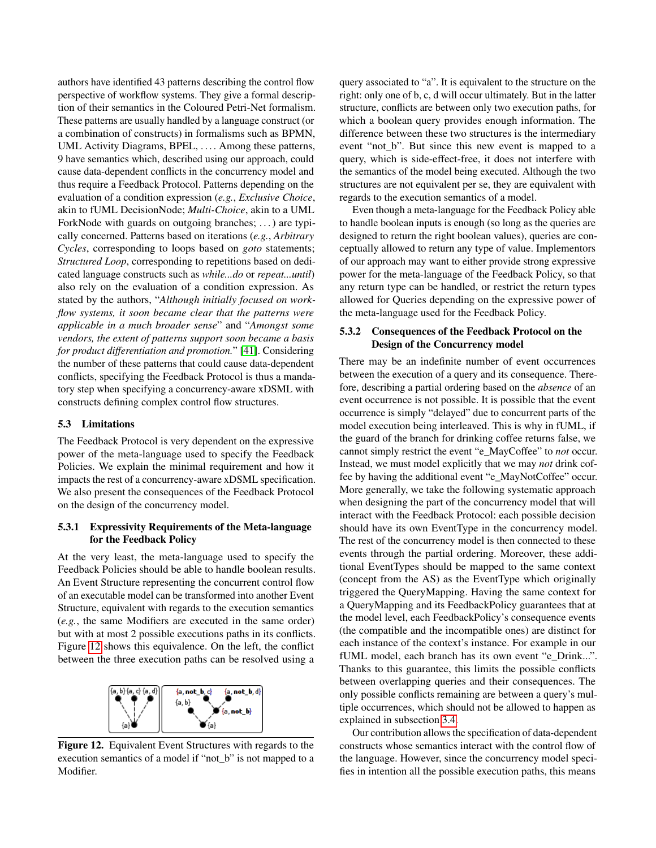authors have identified 43 patterns describing the control flow perspective of workflow systems. They give a formal description of their semantics in the Coloured Petri-Net formalism. These patterns are usually handled by a language construct (or a combination of constructs) in formalisms such as BPMN, UML Activity Diagrams, BPEL, .... Among these patterns, 9 have semantics which, described using our approach, could cause data-dependent conflicts in the concurrency model and thus require a Feedback Protocol. Patterns depending on the evaluation of a condition expression (*e.g.*, *Exclusive Choice*, akin to fUML DecisionNode; *Multi-Choice*, akin to a UML ForkNode with guards on outgoing branches; ... ) are typically concerned. Patterns based on iterations (*e.g.*, *Arbitrary Cycles*, corresponding to loops based on *goto* statements; *Structured Loop*, corresponding to repetitions based on dedicated language constructs such as *while...do* or *repeat...until*) also rely on the evaluation of a condition expression. As stated by the authors, "*Although initially focused on workflow systems, it soon became clear that the patterns were applicable in a much broader sense*" and "*Amongst some vendors, the extent of patterns support soon became a basis for product differentiation and promotion.*" [\[41\]](#page-11-11). Considering the number of these patterns that could cause data-dependent conflicts, specifying the Feedback Protocol is thus a mandatory step when specifying a concurrency-aware xDSML with constructs defining complex control flow structures.

#### 5.3 Limitations

The Feedback Protocol is very dependent on the expressive power of the meta-language used to specify the Feedback Policies. We explain the minimal requirement and how it impacts the rest of a concurrency-aware xDSML specification. We also present the consequences of the Feedback Protocol on the design of the concurrency model.

#### 5.3.1 Expressivity Requirements of the Meta-language for the Feedback Policy

At the very least, the meta-language used to specify the Feedback Policies should be able to handle boolean results. An Event Structure representing the concurrent control flow of an executable model can be transformed into another Event Structure, equivalent with regards to the execution semantics (*e.g.*, the same Modifiers are executed in the same order) but with at most 2 possible executions paths in its conflicts. Figure [12](#page-9-0) shows this equivalence. On the left, the conflict between the three execution paths can be resolved using a



<span id="page-9-0"></span>Figure 12. Equivalent Event Structures with regards to the execution semantics of a model if "not\_b" is not mapped to a Modifier.

query associated to "a". It is equivalent to the structure on the right: only one of b, c, d will occur ultimately. But in the latter structure, conflicts are between only two execution paths, for which a boolean query provides enough information. The difference between these two structures is the intermediary event "not\_b". But since this new event is mapped to a query, which is side-effect-free, it does not interfere with the semantics of the model being executed. Although the two structures are not equivalent per se, they are equivalent with regards to the execution semantics of a model.

Even though a meta-language for the Feedback Policy able to handle boolean inputs is enough (so long as the queries are designed to return the right boolean values), queries are conceptually allowed to return any type of value. Implementors of our approach may want to either provide strong expressive power for the meta-language of the Feedback Policy, so that any return type can be handled, or restrict the return types allowed for Queries depending on the expressive power of the meta-language used for the Feedback Policy.

#### 5.3.2 Consequences of the Feedback Protocol on the Design of the Concurrency model

There may be an indefinite number of event occurrences between the execution of a query and its consequence. Therefore, describing a partial ordering based on the *absence* of an event occurrence is not possible. It is possible that the event occurrence is simply "delayed" due to concurrent parts of the model execution being interleaved. This is why in fUML, if the guard of the branch for drinking coffee returns false, we cannot simply restrict the event "e\_MayCoffee" to *not* occur. Instead, we must model explicitly that we may *not* drink coffee by having the additional event "e\_MayNotCoffee" occur. More generally, we take the following systematic approach when designing the part of the concurrency model that will interact with the Feedback Protocol: each possible decision should have its own EventType in the concurrency model. The rest of the concurrency model is then connected to these events through the partial ordering. Moreover, these additional EventTypes should be mapped to the same context (concept from the AS) as the EventType which originally triggered the QueryMapping. Having the same context for a QueryMapping and its FeedbackPolicy guarantees that at the model level, each FeedbackPolicy's consequence events (the compatible and the incompatible ones) are distinct for each instance of the context's instance. For example in our fUML model, each branch has its own event "e\_Drink...". Thanks to this guarantee, this limits the possible conflicts between overlapping queries and their consequences. The only possible conflicts remaining are between a query's multiple occurrences, which should not be allowed to happen as explained in subsection [3.4.](#page-5-1)

Our contribution allows the specification of data-dependent constructs whose semantics interact with the control flow of the language. However, since the concurrency model specifies in intention all the possible execution paths, this means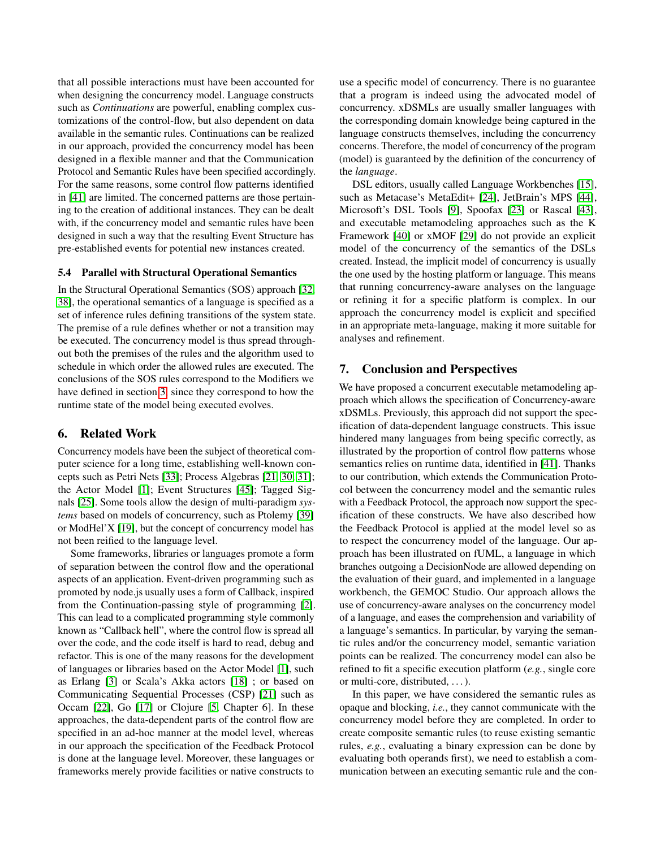that all possible interactions must have been accounted for when designing the concurrency model. Language constructs such as *Continuations* are powerful, enabling complex customizations of the control-flow, but also dependent on data available in the semantic rules. Continuations can be realized in our approach, provided the concurrency model has been designed in a flexible manner and that the Communication Protocol and Semantic Rules have been specified accordingly. For the same reasons, some control flow patterns identified in [\[41\]](#page-11-11) are limited. The concerned patterns are those pertaining to the creation of additional instances. They can be dealt with, if the concurrency model and semantic rules have been designed in such a way that the resulting Event Structure has pre-established events for potential new instances created.

#### 5.4 Parallel with Structural Operational Semantics

In the Structural Operational Semantics (SOS) approach [\[32,](#page-11-25) [38\]](#page-11-3), the operational semantics of a language is specified as a set of inference rules defining transitions of the system state. The premise of a rule defines whether or not a transition may be executed. The concurrency model is thus spread throughout both the premises of the rules and the algorithm used to schedule in which order the allowed rules are executed. The conclusions of the SOS rules correspond to the Modifiers we have defined in section [3,](#page-3-0) since they correspond to how the runtime state of the model being executed evolves.

# <span id="page-10-0"></span>6. Related Work

Concurrency models have been the subject of theoretical computer science for a long time, establishing well-known concepts such as Petri Nets [\[33\]](#page-11-13); Process Algebras [\[21,](#page-11-26) [30,](#page-11-27) [31\]](#page-11-28); the Actor Model [\[1\]](#page-11-29); Event Structures [\[45\]](#page-11-7); Tagged Signals [\[25\]](#page-11-8). Some tools allow the design of multi-paradigm *systems* based on models of concurrency, such as Ptolemy [\[39\]](#page-11-30) or ModHel'X [\[19\]](#page-11-31), but the concept of concurrency model has not been reified to the language level.

Some frameworks, libraries or languages promote a form of separation between the control flow and the operational aspects of an application. Event-driven programming such as promoted by node.js usually uses a form of Callback, inspired from the Continuation-passing style of programming [\[2\]](#page-11-32). This can lead to a complicated programming style commonly known as "Callback hell", where the control flow is spread all over the code, and the code itself is hard to read, debug and refactor. This is one of the many reasons for the development of languages or libraries based on the Actor Model [\[1\]](#page-11-29), such as Erlang [\[3\]](#page-11-33) or Scala's Akka actors [\[18\]](#page-11-34) ; or based on Communicating Sequential Processes (CSP) [\[21\]](#page-11-26) such as Occam [\[22\]](#page-11-35), Go [\[17\]](#page-11-36) or Clojure [\[5,](#page-11-37) Chapter 6]. In these approaches, the data-dependent parts of the control flow are specified in an ad-hoc manner at the model level, whereas in our approach the specification of the Feedback Protocol is done at the language level. Moreover, these languages or frameworks merely provide facilities or native constructs to

use a specific model of concurrency. There is no guarantee that a program is indeed using the advocated model of concurrency. xDSMLs are usually smaller languages with the corresponding domain knowledge being captured in the language constructs themselves, including the concurrency concerns. Therefore, the model of concurrency of the program (model) is guaranteed by the definition of the concurrency of the *language*.

DSL editors, usually called Language Workbenches [\[15\]](#page-11-38), such as Metacase's MetaEdit+ [\[24\]](#page-11-39), JetBrain's MPS [\[44\]](#page-11-40), Microsoft's DSL Tools [\[9\]](#page-11-41), Spoofax [\[23\]](#page-11-42) or Rascal [\[43\]](#page-11-43), and executable metamodeling approaches such as the K Framework [\[40\]](#page-11-44) or xMOF [\[29\]](#page-11-45) do not provide an explicit model of the concurrency of the semantics of the DSLs created. Instead, the implicit model of concurrency is usually the one used by the hosting platform or language. This means that running concurrency-aware analyses on the language or refining it for a specific platform is complex. In our approach the concurrency model is explicit and specified in an appropriate meta-language, making it more suitable for analyses and refinement.

## <span id="page-10-1"></span>7. Conclusion and Perspectives

We have proposed a concurrent executable metamodeling approach which allows the specification of Concurrency-aware xDSMLs. Previously, this approach did not support the specification of data-dependent language constructs. This issue hindered many languages from being specific correctly, as illustrated by the proportion of control flow patterns whose semantics relies on runtime data, identified in [\[41\]](#page-11-11). Thanks to our contribution, which extends the Communication Protocol between the concurrency model and the semantic rules with a Feedback Protocol, the approach now support the specification of these constructs. We have also described how the Feedback Protocol is applied at the model level so as to respect the concurrency model of the language. Our approach has been illustrated on fUML, a language in which branches outgoing a DecisionNode are allowed depending on the evaluation of their guard, and implemented in a language workbench, the GEMOC Studio. Our approach allows the use of concurrency-aware analyses on the concurrency model of a language, and eases the comprehension and variability of a language's semantics. In particular, by varying the semantic rules and/or the concurrency model, semantic variation points can be realized. The concurrency model can also be refined to fit a specific execution platform (*e.g.*, single core or multi-core, distributed, . . . ).

In this paper, we have considered the semantic rules as opaque and blocking, *i.e.*, they cannot communicate with the concurrency model before they are completed. In order to create composite semantic rules (to reuse existing semantic rules, *e.g.*, evaluating a binary expression can be done by evaluating both operands first), we need to establish a communication between an executing semantic rule and the con